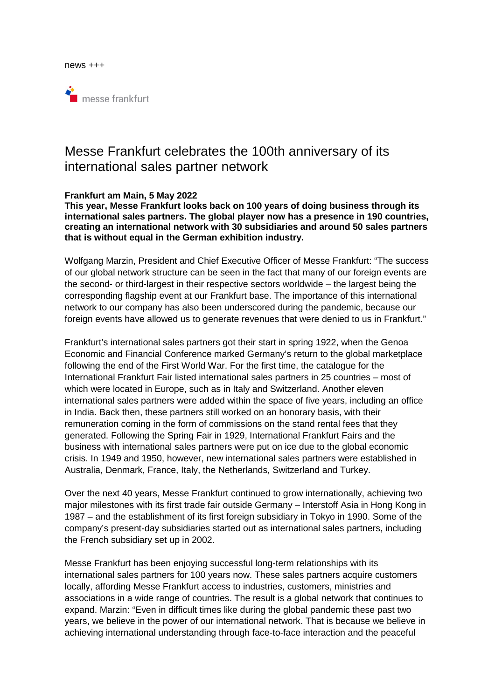

# Messe Frankfurt celebrates the 100th anniversary of its international sales partner network

### **Frankfurt am Main, 5 May 2022**

**This year, Messe Frankfurt looks back on 100 years of doing business through its international sales partners. The global player now has a presence in 190 countries, creating an international network with 30 subsidiaries and around 50 sales partners that is without equal in the German exhibition industry.** 

Wolfgang Marzin, President and Chief Executive Officer of Messe Frankfurt: "The success of our global network structure can be seen in the fact that many of our foreign events are the second- or third-largest in their respective sectors worldwide – the largest being the corresponding flagship event at our Frankfurt base. The importance of this international network to our company has also been underscored during the pandemic, because our foreign events have allowed us to generate revenues that were denied to us in Frankfurt."

Frankfurt's international sales partners got their start in spring 1922, when the Genoa Economic and Financial Conference marked Germany's return to the global marketplace following the end of the First World War. For the first time, the catalogue for the International Frankfurt Fair listed international sales partners in 25 countries – most of which were located in Europe, such as in Italy and Switzerland. Another eleven international sales partners were added within the space of five years, including an office in India. Back then, these partners still worked on an honorary basis, with their remuneration coming in the form of commissions on the stand rental fees that they generated. Following the Spring Fair in 1929, International Frankfurt Fairs and the business with international sales partners were put on ice due to the global economic crisis. In 1949 and 1950, however, new international sales partners were established in Australia, Denmark, France, Italy, the Netherlands, Switzerland and Turkey.

Over the next 40 years, Messe Frankfurt continued to grow internationally, achieving two major milestones with its first trade fair outside Germany – Interstoff Asia in Hong Kong in 1987 – and the establishment of its first foreign subsidiary in Tokyo in 1990. Some of the company's present-day subsidiaries started out as international sales partners, including the French subsidiary set up in 2002.

Messe Frankfurt has been enjoying successful long-term relationships with its international sales partners for 100 years now. These sales partners acquire customers locally, affording Messe Frankfurt access to industries, customers, ministries and associations in a wide range of countries. The result is a global network that continues to expand. Marzin: "Even in difficult times like during the global pandemic these past two years, we believe in the power of our international network. That is because we believe in achieving international understanding through face-to-face interaction and the peaceful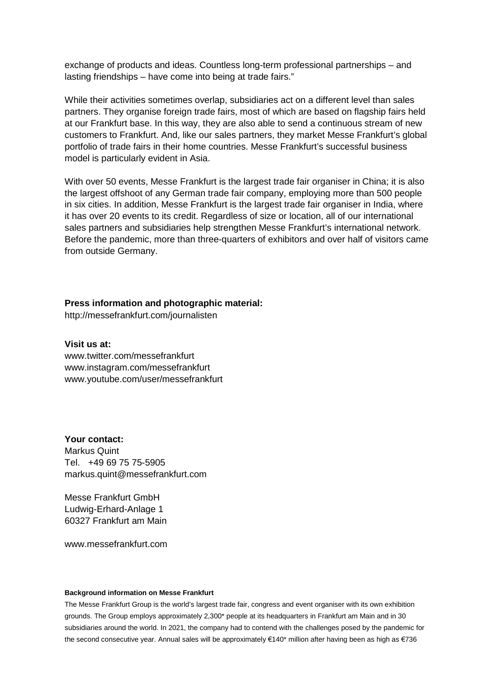exchange of products and ideas. Countless long-term professional partnerships – and lasting friendships – have come into being at trade fairs."

While their activities sometimes overlap, subsidiaries act on a different level than sales partners. They organise foreign trade fairs, most of which are based on flagship fairs held at our Frankfurt base. In this way, they are also able to send a continuous stream of new customers to Frankfurt. And, like our sales partners, they market Messe Frankfurt's global portfolio of trade fairs in their home countries. Messe Frankfurt's successful business model is particularly evident in Asia.

With over 50 events, Messe Frankfurt is the largest trade fair organiser in China; it is also the largest offshoot of any German trade fair company, employing more than 500 people in six cities. In addition, Messe Frankfurt is the largest trade fair organiser in India, where it has over 20 events to its credit. Regardless of size or location, all of our international sales partners and subsidiaries help strengthen Messe Frankfurt's international network. Before the pandemic, more than three-quarters of exhibitors and over half of visitors came from outside Germany.

#### **Press information and photographic material:**

http://messefrankfurt.com/journalisten

## **Visit us at:**

www.twitter.com/messefrankfurt www.instagram.com/messefrankfurt www.youtube.com/user/messefrankfurt

**Your contact:**  Markus Quint Tel. +49 69 75 75-5905 markus.quint@messefrankfurt.com

Messe Frankfurt GmbH Ludwig-Erhard-Anlage 1 60327 Frankfurt am Main

www.messefrankfurt.com

#### **Background information on Messe Frankfurt**

The Messe Frankfurt Group is the world's largest trade fair, congress and event organiser with its own exhibition grounds. The Group employs approximately 2,300\* people at its headquarters in Frankfurt am Main and in 30 subsidiaries around the world. In 2021, the company had to contend with the challenges posed by the pandemic for the second consecutive year. Annual sales will be approximately €140\* million after having been as high as €736